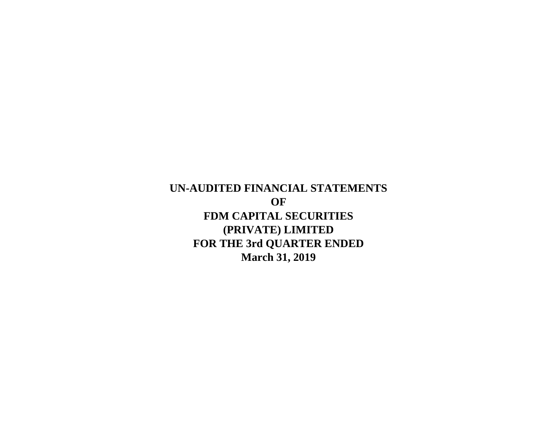**March 31, 2019 UN-AUDITED FINANCIAL STATEMENTS OF FDM CAPITAL SECURITIES (PRIVATE) LIMITED FOR THE 3rd QUARTER ENDED**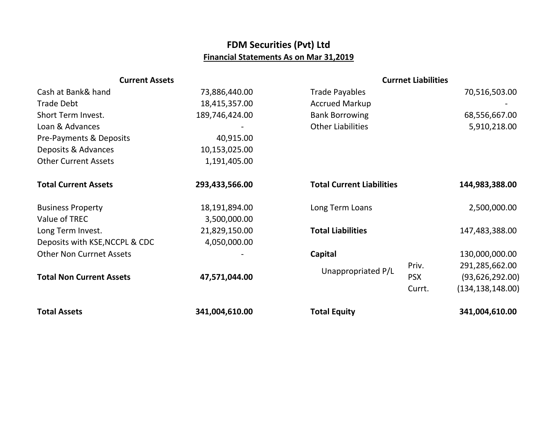## **FDM Securities (Pvt) Ltd Financial Statements As on Mar 31,2019**

| <b>Current Assets</b>           |                |                                  | <b>Currnet Liabilities</b> |                    |
|---------------------------------|----------------|----------------------------------|----------------------------|--------------------|
| Cash at Bank& hand              | 73,886,440.00  | <b>Trade Payables</b>            |                            | 70,516,503.00      |
| <b>Trade Debt</b>               | 18,415,357.00  | <b>Accrued Markup</b>            |                            |                    |
| Short Term Invest.              | 189,746,424.00 | <b>Bank Borrowing</b>            |                            | 68,556,667.00      |
| Loan & Advances                 |                | <b>Other Liabilities</b>         |                            | 5,910,218.00       |
| Pre-Payments & Deposits         | 40,915.00      |                                  |                            |                    |
| Deposits & Advances             | 10,153,025.00  |                                  |                            |                    |
| <b>Other Current Assets</b>     | 1,191,405.00   |                                  |                            |                    |
| <b>Total Current Assets</b>     | 293,433,566.00 | <b>Total Current Liabilities</b> |                            | 144,983,388.00     |
| <b>Business Property</b>        | 18,191,894.00  | Long Term Loans                  |                            | 2,500,000.00       |
| Value of TREC                   | 3,500,000.00   |                                  |                            |                    |
| Long Term Invest.               | 21,829,150.00  | <b>Total Liabilities</b>         |                            | 147,483,388.00     |
| Deposits with KSE, NCCPL & CDC  | 4,050,000.00   |                                  |                            |                    |
| <b>Other Non Currnet Assets</b> |                | Capital                          |                            | 130,000,000.00     |
| <b>Total Non Current Assets</b> | 47,571,044.00  | Unappropriated P/L               | Priv.                      | 291,285,662.00     |
|                                 |                |                                  | <b>PSX</b>                 | (93, 626, 292.00)  |
|                                 |                |                                  | Currt.                     | (134, 138, 148.00) |
| <b>Total Assets</b>             | 341,004,610.00 | <b>Total Equity</b>              |                            | 341,004,610.00     |